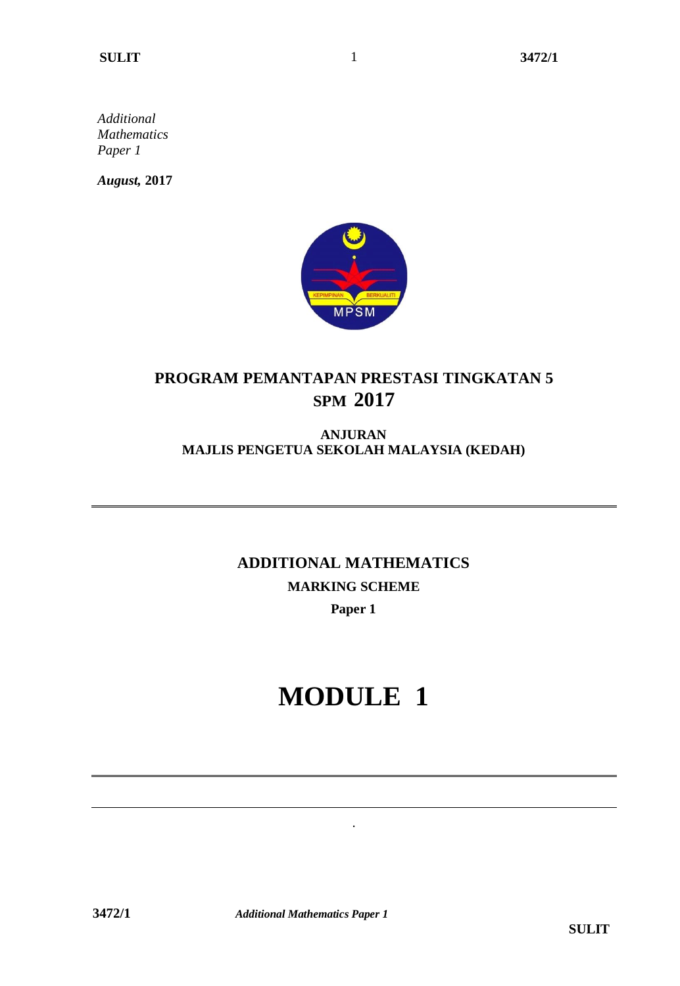*Additional Mathematics Paper 1*

*August,* **2017**



1

## **PROGRAM PEMANTAPAN PRESTASI TINGKATAN 5 SPM 2017**

### **ANJURAN MAJLIS PENGETUA SEKOLAH MALAYSIA (KEDAH)**

## **ADDITIONAL MATHEMATICS MARKING SCHEME Paper 1**

# **MODULE 1**

.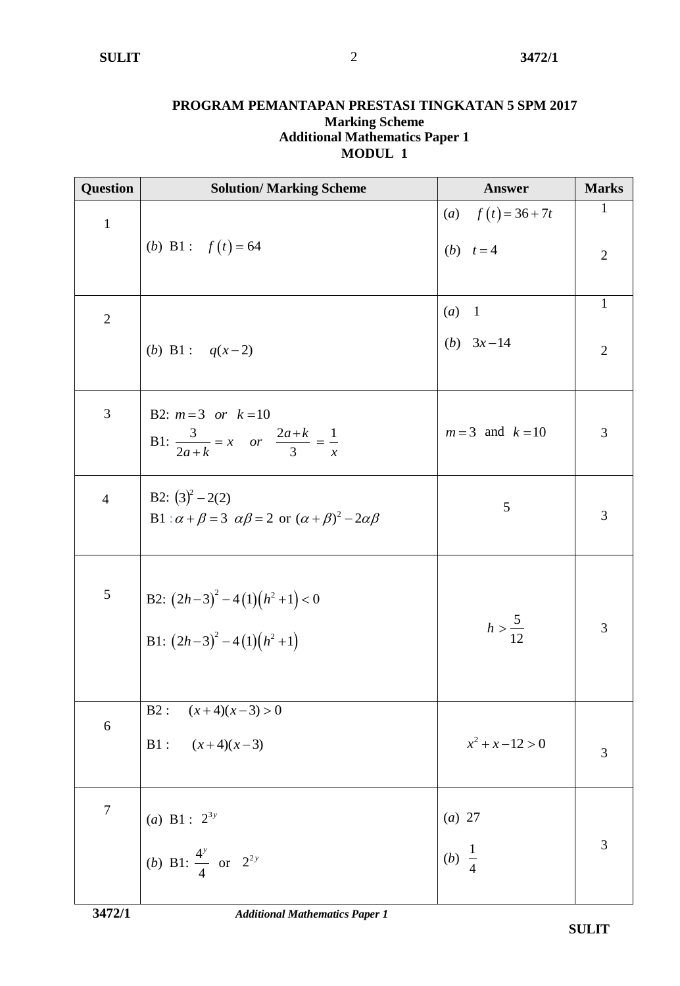#### **PROGRAM PEMANTAPAN PRESTASI TINGKATAN 5 SPM 2017 Marking Scheme Additional Mathematics Paper 1 MODUL 1**

| <b>Question</b>  | <b>Solution/ Marking Scheme</b>                                                    | Answer               | <b>Marks</b>   |
|------------------|------------------------------------------------------------------------------------|----------------------|----------------|
| $\,1\,$          |                                                                                    | (a) $f(t) = 36 + 7t$ | $\mathbf{1}$   |
|                  | ( <i>b</i> ) B1 : $f(t) = 64$                                                      | ( <i>b</i> ) $t = 4$ | $\overline{2}$ |
|                  |                                                                                    |                      |                |
| $\sqrt{2}$       |                                                                                    | (a)<br>$\mathbf{1}$  | $\mathbf{1}$   |
|                  | ( <i>b</i> ) B1 : $q(x-2)$                                                         | ( <i>b</i> ) $3x-14$ | $\overline{2}$ |
|                  |                                                                                    |                      |                |
| 3                | B2: $m=3$ or $k=10$                                                                |                      |                |
|                  | B1: $\frac{3}{2a+k} = x$ or $\frac{2a+k}{3} = \frac{1}{x}$                         | $m=3$ and $k=10$     | 3              |
| $\overline{4}$   | B2: $(3)^2 - 2(2)$                                                                 |                      |                |
|                  | B1 : $\alpha + \beta = 3$ $\alpha\beta = 2$ or $(\alpha + \beta)^2 - 2\alpha\beta$ | 5                    | 3              |
|                  |                                                                                    |                      |                |
| $\overline{5}$   |                                                                                    |                      |                |
|                  | B2: $(2h-3)^2 - 4(1)(h^2 + 1) < 0$<br>B1: $(2h-3)^2 - 4(1)(h^2 + 1)$               | $h > \frac{5}{12}$   | 3              |
|                  |                                                                                    |                      |                |
|                  |                                                                                    |                      |                |
| $\boldsymbol{6}$ | B2: $(x+4)(x-3) > 0$<br>B1: $(x+4)(x-3)$                                           |                      |                |
|                  |                                                                                    | $x^2 + x - 12 > 0$   | 3              |
|                  |                                                                                    |                      |                |
| $\overline{7}$   |                                                                                    | (a) 27               |                |
|                  | (a) B1 : $2^{3y}$<br>(b) B1 : $\frac{4^y}{4}$ or $2^{2y}$                          | $\frac{1}{4}$<br>(b) | $\mathfrak{Z}$ |
|                  |                                                                                    |                      |                |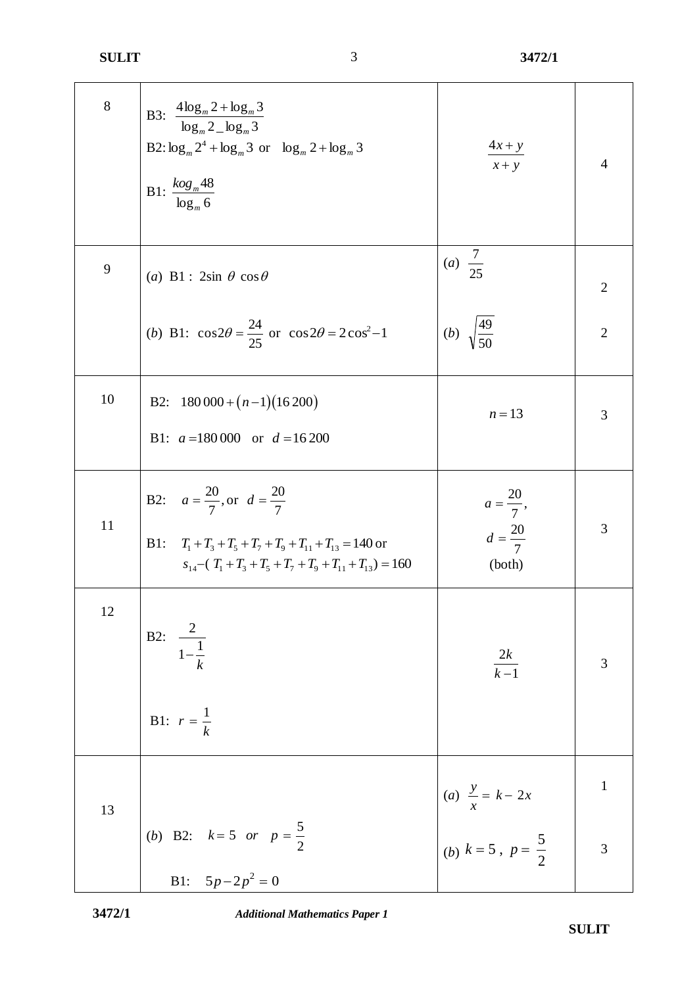| $8\,$ | B3: $\frac{4\log_{m}2 + \log_{m}3}{\log_{m}2 - \log_{m}3}$<br>B2: $\log_m 2^4 + \log_m 3$ or $\log_m 2 + \log_m 3$<br>B1: $\frac{\log_{m}48}{\log_{m}6}$                           | $\frac{4x+y}{2}$<br>$x + y$                                   | $\overline{4}$          |
|-------|------------------------------------------------------------------------------------------------------------------------------------------------------------------------------------|---------------------------------------------------------------|-------------------------|
| 9     | (a) B1 : $2\sin \theta \cos \theta$                                                                                                                                                | $\frac{7}{25}$<br>(a)                                         | $\overline{2}$          |
|       | (b) B1: $\cos 2\theta = \frac{24}{25}$ or $\cos 2\theta = 2\cos^2 - 1$                                                                                                             | (b) $\sqrt{\frac{49}{50}}$                                    | $\overline{2}$          |
| 10    | B2: $180\,000 + (n-1)(16\,200)$<br>B1: $a = 180000$ or $d = 16200$                                                                                                                 | $n = 13$                                                      | 3                       |
| 11    | B2: $a = \frac{20}{7}$ , or $d = \frac{20}{7}$<br>B1: $T_1 + T_3 + T_5 + T_7 + T_9 + T_{11} + T_{13} = 140$ or<br>$S_{14} - (T_1 + T_2 + T_5 + T_7 + T_9 + T_{11} + T_{13}) = 160$ | $a = \frac{20}{7},$<br>$d = \frac{20}{7}$<br>(both)           | 3                       |
| 12    | B2: $\frac{2}{1-\frac{1}{k}}$<br><b>B1:</b> $r = \frac{1}{k}$                                                                                                                      | $\frac{2k}{k-1}$                                              | 3                       |
|       |                                                                                                                                                                                    |                                                               | $\mathbf{1}$            |
| 13    | ( <i>b</i> ) B2: $k=5$ or $p=\frac{5}{2}$<br>B1: $5p-2p^2=0$                                                                                                                       | (a) $\frac{y}{x} = k - 2x$<br>(b) $k = 5$ , $p = \frac{5}{2}$ | $\overline{\mathbf{3}}$ |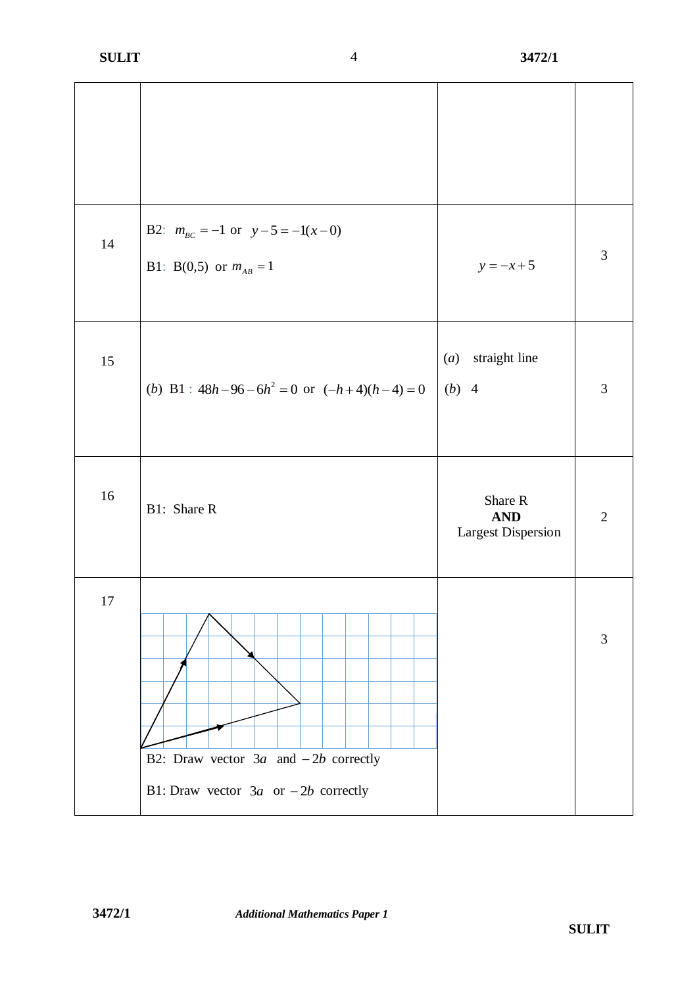| 14     | B2: $m_{BC} = -1$ or $y - 5 = -1(x - 0)$<br>B1: B(0,5) or $m_{AB} = 1$              | $y = -x + 5$                                       | 3              |
|--------|-------------------------------------------------------------------------------------|----------------------------------------------------|----------------|
| 15     | (b) B1 : $48h-96-6h^2 = 0$ or $(-h+4)(h-4) = 0$                                     | straight line<br>(a)<br>$(b)$ 4                    | $\mathfrak{Z}$ |
| 16     | B1: Share R                                                                         | Share R<br><b>AND</b><br><b>Largest Dispersion</b> | $\overline{2}$ |
| $17\,$ | B2: Draw vector $3a$ and $-2b$ correctly<br>B1: Draw vector $3a$ or $-2b$ correctly |                                                    | 3              |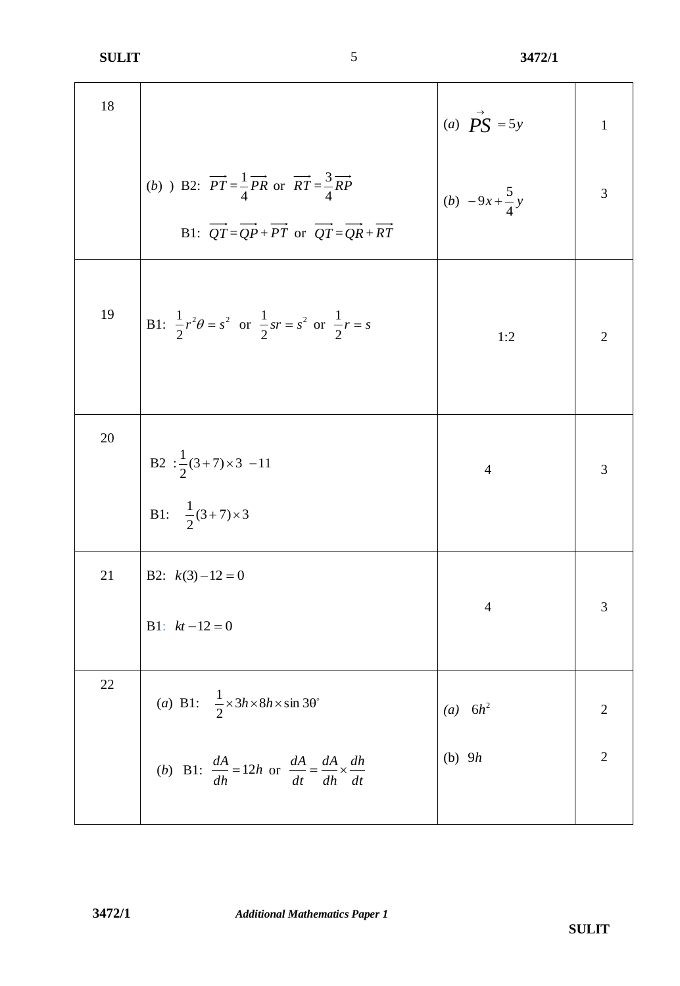| 18 |                                                                                                                                                                                                                                                                        | (a) $\overrightarrow{PS}$ = 5y | $\mathbf{1}$   |
|----|------------------------------------------------------------------------------------------------------------------------------------------------------------------------------------------------------------------------------------------------------------------------|--------------------------------|----------------|
|    | (b) B2: $\overrightarrow{PT} = \frac{1}{4}\overrightarrow{PR}$ or $\overrightarrow{RT} = \frac{3}{4}\overrightarrow{RP}$<br>B1: $\overrightarrow{QT} = \overrightarrow{QP} + \overrightarrow{PT}$ or $\overrightarrow{QT} = \overrightarrow{QR} + \overrightarrow{RT}$ | (b) $-9x+\frac{5}{4}y$         | 3              |
| 19 | B1: $\frac{1}{2}r^2\theta = s^2$ or $\frac{1}{2}sr = s^2$ or $\frac{1}{2}r = s$                                                                                                                                                                                        | 1:2                            | $\overline{2}$ |
| 20 | B2 : $\frac{1}{2}(3+7) \times 3$ -11<br>B1: $\frac{1}{2}(3+7) \times 3$                                                                                                                                                                                                | $\overline{4}$                 | 3              |
| 21 | B2: $k(3)-12=0$<br>B1: $kt-12=0$                                                                                                                                                                                                                                       | $\overline{4}$                 | 3              |
| 22 | (a) B1: $\frac{1}{2} \times 3h \times 8h \times \sin 3\theta^{\circ}$                                                                                                                                                                                                  | (a) $6h^2$                     | $\overline{2}$ |
|    | ( <i>b</i> ) B1: $\frac{dA}{dh} = 12h$ or $\frac{dA}{dt} = \frac{dA}{dh} \times \frac{dh}{dt}$                                                                                                                                                                         | (b) $9h$                       | $\overline{2}$ |